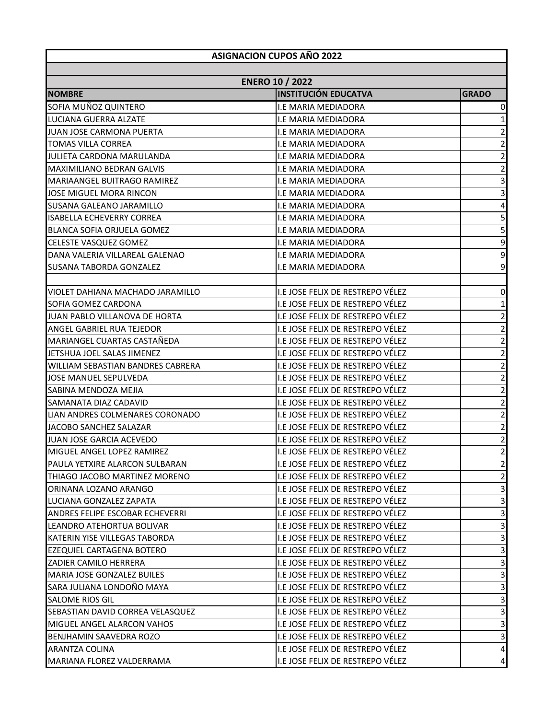| <b>ASIGNACION CUPOS AÑO 2022</b>  |                                                       |                         |  |
|-----------------------------------|-------------------------------------------------------|-------------------------|--|
|                                   |                                                       |                         |  |
| <b>NOMBRE</b>                     | <b>ENERO 10 / 2022</b><br><b>INSTITUCIÓN EDUCATVA</b> | <b>GRADO</b>            |  |
| SOFIA MUÑOZ QUINTERO              | I.E MARIA MEDIADORA                                   | 0                       |  |
| LUCIANA GUERRA ALZATE             | I.E MARIA MEDIADORA                                   | 1                       |  |
| JUAN JOSE CARMONA PUERTA          | I.E MARIA MEDIADORA                                   | $\overline{\mathbf{c}}$ |  |
| <b>TOMAS VILLA CORREA</b>         | I.E MARIA MEDIADORA                                   | $\overline{\mathbf{c}}$ |  |
| JULIETA CARDONA MARULANDA         | I.E MARIA MEDIADORA                                   | $\mathbf{2}$            |  |
| MAXIMILIANO BEDRAN GALVIS         | <b>I.E MARIA MEDIADORA</b>                            | $\mathbf 2$             |  |
| MARIAANGEL BUITRAGO RAMIREZ       | I.E MARIA MEDIADORA                                   | $\overline{3}$          |  |
| JOSE MIGUEL MORA RINCON           | I.E MARIA MEDIADORA                                   | 3                       |  |
| SUSANA GALEANO JARAMILLO          | I.E MARIA MEDIADORA                                   | $\pmb{4}$               |  |
| <b>ISABELLA ECHEVERRY CORREA</b>  | I.E MARIA MEDIADORA                                   |                         |  |
| BLANCA SOFIA ORJUELA GOMEZ        | I.E MARIA MEDIADORA                                   | $\frac{5}{5}$           |  |
| CELESTE VASQUEZ GOMEZ             | I.E MARIA MEDIADORA                                   | 9                       |  |
| DANA VALERIA VILLAREAL GALENAO    | I.E MARIA MEDIADORA                                   | $\mathsf 9$             |  |
| <b>SUSANA TABORDA GONZALEZ</b>    | I.E MARIA MEDIADORA                                   | $\mathsf 9$             |  |
|                                   |                                                       |                         |  |
| VIOLET DAHIANA MACHADO JARAMILLO  | I.E JOSE FELIX DE RESTREPO VÉLEZ                      | $\pmb{0}$               |  |
| SOFIA GOMEZ CARDONA               | I.E JOSE FELIX DE RESTREPO VÉLEZ                      | $\mathbf 1$             |  |
| JUAN PABLO VILLANOVA DE HORTA     | I.E JOSE FELIX DE RESTREPO VÉLEZ                      | $\overline{2}$          |  |
| ANGEL GABRIEL RUA TEJEDOR         | I.E JOSE FELIX DE RESTREPO VÉLEZ                      | $\overline{2}$          |  |
| MARIANGEL CUARTAS CASTAÑEDA       | I.E JOSE FELIX DE RESTREPO VÉLEZ                      | $\overline{\mathbf{c}}$ |  |
| JETSHUA JOEL SALAS JIMENEZ        | I.E JOSE FELIX DE RESTREPO VÉLEZ                      | $\overline{2}$          |  |
| WILLIAM SEBASTIAN BANDRES CABRERA | I.E JOSE FELIX DE RESTREPO VÉLEZ                      | $\overline{2}$          |  |
| JOSE MANUEL SEPULVEDA             | I.E JOSE FELIX DE RESTREPO VÉLEZ                      | $\sqrt{2}$              |  |
| SABINA MENDOZA MEJIA              | I.E JOSE FELIX DE RESTREPO VÉLEZ                      | $\overline{2}$          |  |
| SAMANATA DIAZ CADAVID             | I.E JOSE FELIX DE RESTREPO VÉLEZ                      | $\overline{c}$          |  |
| LIAN ANDRES COLMENARES CORONADO   | I.E JOSE FELIX DE RESTREPO VÉLEZ                      | $\mathbf{2}$            |  |
| JACOBO SANCHEZ SALAZAR            | I.E JOSE FELIX DE RESTREPO VÉLEZ                      | $\overline{a}$          |  |
| JUAN JOSE GARCIA ACEVEDO          | I.E JOSE FELIX DE RESTREPO VÉLEZ                      | $\overline{2}$          |  |
| MIGUEL ANGEL LOPEZ RAMIREZ        | I.E JOSE FELIX DE RESTREPO VÉLEZ                      | $\overline{2}$          |  |
| PAULA YETXIRE ALARCON SULBARAN    | I.E JOSE FELIX DE RESTREPO VÉLEZ                      | $\overline{2}$          |  |
| THIAGO JACOBO MARTINEZ MORENO     | I.E JOSE FELIX DE RESTREPO VÉLEZ                      | $\overline{2}$          |  |
| ORINANA LOZANO ARANGO             | I.E JOSE FELIX DE RESTREPO VÉLEZ                      | $\mathsf 3$             |  |
| LUCIANA GONZALEZ ZAPATA           | I.E JOSE FELIX DE RESTREPO VÉLEZ                      | $\mathbf{3}$            |  |
| ANDRES FELIPE ESCOBAR ECHEVERRI   | I.E JOSE FELIX DE RESTREPO VÉLEZ                      | $\mathbf{3}$            |  |
| LEANDRO ATEHORTUA BOLIVAR         | I.E JOSE FELIX DE RESTREPO VÉLEZ                      | $\mathsf{3}$            |  |
| KATERIN YISE VILLEGAS TABORDA     | I.E JOSE FELIX DE RESTREPO VÉLEZ                      | $\mathbf{3}$            |  |
| EZEQUIEL CARTAGENA BOTERO         | I.E JOSE FELIX DE RESTREPO VÉLEZ                      | $\overline{\mathbf{3}}$ |  |
| ZADIER CAMILO HERRERA             | I.E JOSE FELIX DE RESTREPO VÉLEZ                      | $\mathbf{3}$            |  |
| MARIA JOSE GONZALEZ BUILES        | I.E JOSE FELIX DE RESTREPO VÉLEZ                      | $\mathsf{3}$            |  |
| SARA JULIANA LONDOÑO MAYA         | I.E JOSE FELIX DE RESTREPO VÉLEZ                      | $\mathbf{3}$            |  |
| <b>SALOME RIOS GIL</b>            | I.E JOSE FELIX DE RESTREPO VÉLEZ                      | $\mathbf{3}$            |  |
| SEBASTIAN DAVID CORREA VELASQUEZ  | I.E JOSE FELIX DE RESTREPO VÉLEZ                      | $\mathbf{3}$            |  |
| MIGUEL ANGEL ALARCON VAHOS        | I.E JOSE FELIX DE RESTREPO VÉLEZ                      | 3                       |  |
| BENJHAMIN SAAVEDRA ROZO           | I.E JOSE FELIX DE RESTREPO VÉLEZ                      | $\mathbf{3}$            |  |
| <b>ARANTZA COLINA</b>             | I.E JOSE FELIX DE RESTREPO VÉLEZ                      | $\pmb{4}$               |  |
| MARIANA FLOREZ VALDERRAMA         | I.E JOSE FELIX DE RESTREPO VÉLEZ                      | $\overline{a}$          |  |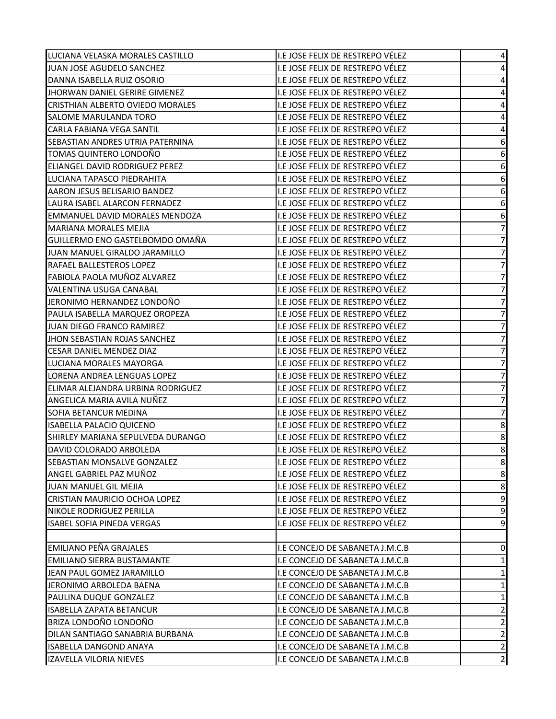| LUCIANA VELASKA MORALES CASTILLO      | I.E JOSE FELIX DE RESTREPO VÉLEZ | 4                        |
|---------------------------------------|----------------------------------|--------------------------|
| JUAN JOSE AGUDELO SANCHEZ             | I.E JOSE FELIX DE RESTREPO VÉLEZ | 4                        |
| DANNA ISABELLA RUIZ OSORIO            | I.E JOSE FELIX DE RESTREPO VÉLEZ | 4                        |
| JHORWAN DANIEL GERIRE GIMENEZ         | I.E JOSE FELIX DE RESTREPO VÉLEZ | 4                        |
| CRISTHIAN ALBERTO OVIEDO MORALES      | I.E JOSE FELIX DE RESTREPO VÉLEZ | 4                        |
| SALOME MARULANDA TORO                 | I.E JOSE FELIX DE RESTREPO VÉLEZ | 4                        |
| <b>CARLA FABIANA VEGA SANTIL</b>      | I.E JOSE FELIX DE RESTREPO VÉLEZ | 4                        |
| SEBASTIAN ANDRES UTRIA PATERNINA      | I.E JOSE FELIX DE RESTREPO VÉLEZ | 6                        |
| TOMAS QUINTERO LONDOÑO                | I.E JOSE FELIX DE RESTREPO VÉLEZ | 6                        |
| <b>ELIANGEL DAVID RODRIGUEZ PEREZ</b> | I.E JOSE FELIX DE RESTREPO VÉLEZ | 6                        |
| LUCIANA TAPASCO PIEDRAHITA            | I.E JOSE FELIX DE RESTREPO VÉLEZ | 6                        |
| AARON JESUS BELISARIO BANDEZ          | I.E JOSE FELIX DE RESTREPO VÉLEZ | 6                        |
| LAURA ISABEL ALARCON FERNADEZ         | I.E JOSE FELIX DE RESTREPO VÉLEZ | 6                        |
| <b>EMMANUEL DAVID MORALES MENDOZA</b> | I.E JOSE FELIX DE RESTREPO VÉLEZ | $\boldsymbol{6}$         |
| <b>MARIANA MORALES MEJIA</b>          | I.E JOSE FELIX DE RESTREPO VÉLEZ | $\boldsymbol{7}$         |
| GUILLERMO ENO GASTELBOMDO OMAÑA       | I.E JOSE FELIX DE RESTREPO VÉLEZ | $\overline{\phantom{a}}$ |
| JUAN MANUEL GIRALDO JARAMILLO         | I.E JOSE FELIX DE RESTREPO VÉLEZ | $\overline{7}$           |
| RAFAEL BALLESTEROS LOPEZ              | I.E JOSE FELIX DE RESTREPO VÉLEZ | $\overline{\phantom{a}}$ |
| FABIOLA PAOLA MUÑOZ ALVAREZ           | I.E JOSE FELIX DE RESTREPO VÉLEZ | $\boldsymbol{7}$         |
| <b>VALENTINA USUGA CANABAL</b>        | I.E JOSE FELIX DE RESTREPO VÉLEZ | $\overline{7}$           |
| JERONIMO HERNANDEZ LONDOÑO            | I.E JOSE FELIX DE RESTREPO VÉLEZ | $\boldsymbol{7}$         |
| PAULA ISABELLA MARQUEZ OROPEZA        | I.E JOSE FELIX DE RESTREPO VÉLEZ | $\overline{\phantom{a}}$ |
| JUAN DIEGO FRANCO RAMIREZ             | I.E JOSE FELIX DE RESTREPO VÉLEZ | $\overline{\mathcal{I}}$ |
| JHON SEBASTIAN ROJAS SANCHEZ          | I.E JOSE FELIX DE RESTREPO VÉLEZ | $\overline{7}$           |
| <b>CESAR DANIEL MENDEZ DIAZ</b>       | I.E JOSE FELIX DE RESTREPO VÉLEZ | $\boldsymbol{7}$         |
| LUCIANA MORALES MAYORGA               | I.E JOSE FELIX DE RESTREPO VÉLEZ | $\overline{7}$           |
| LORENA ANDREA LENGUAS LOPEZ           | I.E JOSE FELIX DE RESTREPO VÉLEZ | $\boldsymbol{7}$         |
| ELIMAR ALEJANDRA URBINA RODRIGUEZ     | I.E JOSE FELIX DE RESTREPO VÉLEZ | $\overline{7}$           |
| ANGELICA MARIA AVILA NUÑEZ            | I.E JOSE FELIX DE RESTREPO VÉLEZ | $\boldsymbol{7}$         |
| SOFIA BETANCUR MEDINA                 | I.E JOSE FELIX DE RESTREPO VÉLEZ | $\overline{7}$           |
| <b>ISABELLA PALACIO QUICENO</b>       | I.E JOSE FELIX DE RESTREPO VÉLEZ | 8                        |
| SHIRLEY MARIANA SEPULVEDA DURANGO     | I.E JOSE FELIX DE RESTREPO VÉLEZ | 8                        |
| DAVID COLORADO ARBOLEDA               | I.E JOSE FELIX DE RESTREPO VÉLEZ | 8                        |
| SEBASTIAN MONSALVE GONZALEZ           | I.E JOSE FELIX DE RESTREPO VÉLEZ | 8                        |
| ANGEL GABRIEL PAZ MUÑOZ               | I.E JOSE FELIX DE RESTREPO VÉLEZ | 8                        |
| JUAN MANUEL GIL MEJIA                 | I.E JOSE FELIX DE RESTREPO VÉLEZ | 8                        |
| CRISTIAN MAURICIO OCHOA LOPEZ         | I.E JOSE FELIX DE RESTREPO VÉLEZ | $\mathsf 9$              |
| NIKOLE RODRIGUEZ PERILLA              | I.E JOSE FELIX DE RESTREPO VÉLEZ | 9                        |
| <b>ISABEL SOFIA PINEDA VERGAS</b>     | I.E JOSE FELIX DE RESTREPO VÉLEZ | 9                        |
|                                       |                                  |                          |
| <b>EMILIANO PEÑA GRAJALES</b>         | I.E CONCEJO DE SABANETA J.M.C.B  | $\pmb{0}$                |
| <b>EMILIANO SIERRA BUSTAMANTE</b>     | I.E CONCEJO DE SABANETA J.M.C.B  | $\mathbf{1}$             |
| JEAN PAUL GOMEZ JARAMILLO             | I.E CONCEJO DE SABANETA J.M.C.B  | $\mathbf 1$              |
| JERONIMO ARBOLEDA BAENA               | I.E CONCEJO DE SABANETA J.M.C.B  | $\mathbf 1$              |
| PAULINA DUQUE GONZALEZ                | I.E CONCEJO DE SABANETA J.M.C.B  | $\mathbf 1$              |
| <b>ISABELLA ZAPATA BETANCUR</b>       | I.E CONCEJO DE SABANETA J.M.C.B  | $\mathbf 2$              |
| BRIZA LONDOÑO LONDOÑO                 | I.E CONCEJO DE SABANETA J.M.C.B  | $\mathbf 2$              |
| DILAN SANTIAGO SANABRIA BURBANA       | I.E CONCEJO DE SABANETA J.M.C.B  | $\overline{2}$           |
| <b>ISABELLA DANGOND ANAYA</b>         | I.E CONCEJO DE SABANETA J.M.C.B  | $\mathbf 2$              |
| IZAVELLA VILORIA NIEVES               | I.E CONCEJO DE SABANETA J.M.C.B  | $\overline{2}$           |
|                                       |                                  |                          |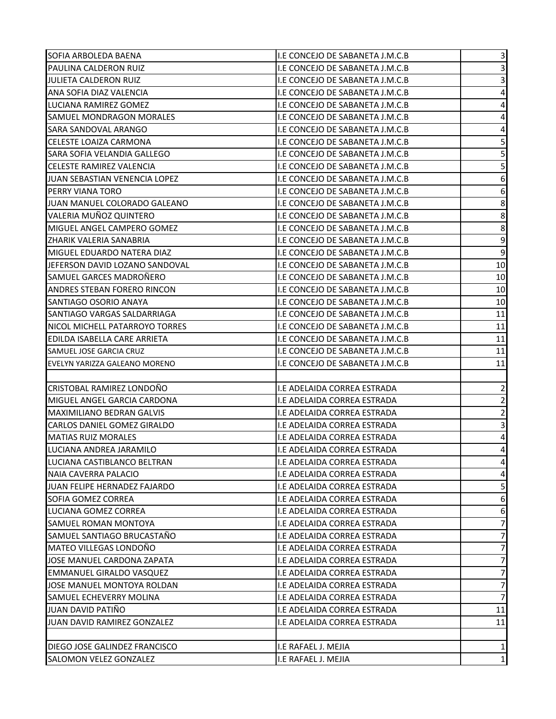| SOFIA ARBOLEDA BAENA             | I.E CONCEJO DE SABANETA J.M.C.B    | 3                       |
|----------------------------------|------------------------------------|-------------------------|
| <b>PAULINA CALDERON RUIZ</b>     | I.E CONCEJO DE SABANETA J.M.C.B    | 3                       |
| JULIETA CALDERON RUIZ            | I.E CONCEJO DE SABANETA J.M.C.B    | 3                       |
| ANA SOFIA DIAZ VALENCIA          | I.E CONCEJO DE SABANETA J.M.C.B    | $\overline{\mathbf{4}}$ |
| LUCIANA RAMIREZ GOMEZ            | I.E CONCEJO DE SABANETA J.M.C.B    | $\overline{\mathbf{4}}$ |
| SAMUEL MONDRAGON MORALES         | I.E CONCEJO DE SABANETA J.M.C.B    | $\overline{\mathbf{4}}$ |
| SARA SANDOVAL ARANGO             | I.E CONCEJO DE SABANETA J.M.C.B    | 4                       |
| CELESTE LOAIZA CARMONA           | I.E CONCEJO DE SABANETA J.M.C.B    | 5                       |
| SARA SOFIA VELANDIA GALLEGO      | I.E CONCEJO DE SABANETA J.M.C.B    | 5                       |
| <b>CELESTE RAMIREZ VALENCIA</b>  | I.E CONCEJO DE SABANETA J.M.C.B    | 5                       |
| JUAN SEBASTIAN VENENCIA LOPEZ    | I.E CONCEJO DE SABANETA J.M.C.B    | 6                       |
| <b>PERRY VIANA TORO</b>          | I.E CONCEJO DE SABANETA J.M.C.B    | 6                       |
| JUAN MANUEL COLORADO GALEANO     | I.E CONCEJO DE SABANETA J.M.C.B    | 8                       |
| VALERIA MUÑOZ QUINTERO           | I.E CONCEJO DE SABANETA J.M.C.B    | 8                       |
| MIGUEL ANGEL CAMPERO GOMEZ       | I.E CONCEJO DE SABANETA J.M.C.B    | 8                       |
| ZHARIK VALERIA SANABRIA          | I.E CONCEJO DE SABANETA J.M.C.B    | $\mathsf 9$             |
| MIGUEL EDUARDO NATERA DIAZ       | I.E CONCEJO DE SABANETA J.M.C.B    | $\overline{9}$          |
| JEFERSON DAVID LOZANO SANDOVAL   | I.E CONCEJO DE SABANETA J.M.C.B    | 10                      |
| SAMUEL GARCES MADROÑERO          | I.E CONCEJO DE SABANETA J.M.C.B    | 10                      |
| ANDRES STEBAN FORERO RINCON      | I.E CONCEJO DE SABANETA J.M.C.B    | 10                      |
| SANTIAGO OSORIO ANAYA            | I.E CONCEJO DE SABANETA J.M.C.B    | 10                      |
| SANTIAGO VARGAS SALDARRIAGA      | I.E CONCEJO DE SABANETA J.M.C.B    | 11                      |
| NICOL MICHELL PATARROYO TORRES   | I.E CONCEJO DE SABANETA J.M.C.B    | 11                      |
| EDILDA ISABELLA CARE ARRIETA     | I.E CONCEJO DE SABANETA J.M.C.B    | 11                      |
| SAMUEL JOSE GARCIA CRUZ          | I.E CONCEJO DE SABANETA J.M.C.B    | 11                      |
| EVELYN YARIZZA GALEANO MORENO    | I.E CONCEJO DE SABANETA J.M.C.B    | 11                      |
|                                  |                                    |                         |
| CRISTOBAL RAMIREZ LONDOÑO        | I.E ADELAIDA CORREA ESTRADA        | $\overline{2}$          |
| MIGUEL ANGEL GARCIA CARDONA      | I.E ADELAIDA CORREA ESTRADA        | $\overline{\mathbf{c}}$ |
| <b>MAXIMILIANO BEDRAN GALVIS</b> | I.E ADELAIDA CORREA ESTRADA        | $\sqrt{2}$              |
| CARLOS DANIEL GOMEZ GIRALDO      | I.E ADELAIDA CORREA ESTRADA        | 3                       |
| <b>MATIAS RUIZ MORALES</b>       | I.E ADELAIDA CORREA ESTRADA        | $\overline{\mathbf{4}}$ |
| LUCIANA ANDREA JARAMILO          | I.E ADELAIDA CORREA ESTRADA        | 4                       |
| LUCIANA CASTIBLANCO BELTRAN      | II.E ADELAIDA CORREA ESTRADA       | 4                       |
| NAIA CAVERRA PALACIO             | I.E ADELAIDA CORREA ESTRADA        | 4                       |
| JUAN FELIPE HERNADEZ FAJARDO     | I.E ADELAIDA CORREA ESTRADA        | 5                       |
| SOFIA GOMEZ CORREA               | I.E ADELAIDA CORREA ESTRADA        | 6                       |
| LUCIANA GOMEZ CORREA             | I.E ADELAIDA CORREA ESTRADA        | 6                       |
| SAMUEL ROMAN MONTOYA             | I.E ADELAIDA CORREA ESTRADA        | $\overline{7}$          |
| SAMUEL SANTIAGO BRUCASTAÑO       | I.E ADELAIDA CORREA ESTRADA        | $\overline{7}$          |
| MATEO VILLEGAS LONDOÑO           | I.E ADELAIDA CORREA ESTRADA        | $\overline{7}$          |
| JOSE MANUEL CARDONA ZAPATA       | I.E ADELAIDA CORREA ESTRADA        | 7                       |
| <b>EMMANUEL GIRALDO VASQUEZ</b>  | <b>I.E ADELAIDA CORREA ESTRADA</b> | $\overline{7}$          |
| JOSE MANUEL MONTOYA ROLDAN       | I.E ADELAIDA CORREA ESTRADA        | 7                       |
| SAMUEL ECHEVERRY MOLINA          | I.E ADELAIDA CORREA ESTRADA        | $\overline{7}$          |
| <b>JUAN DAVID PATIÑO</b>         | I.E ADELAIDA CORREA ESTRADA        | 11                      |
| JUAN DAVID RAMIREZ GONZALEZ      | I.E ADELAIDA CORREA ESTRADA        | 11                      |
|                                  |                                    |                         |
| DIEGO JOSE GALINDEZ FRANCISCO    | I.E RAFAEL J. MEJIA                | 1                       |
| <b>SALOMON VELEZ GONZALEZ</b>    | I.E RAFAEL J. MEJIA                | $\mathbf 1$             |
|                                  |                                    |                         |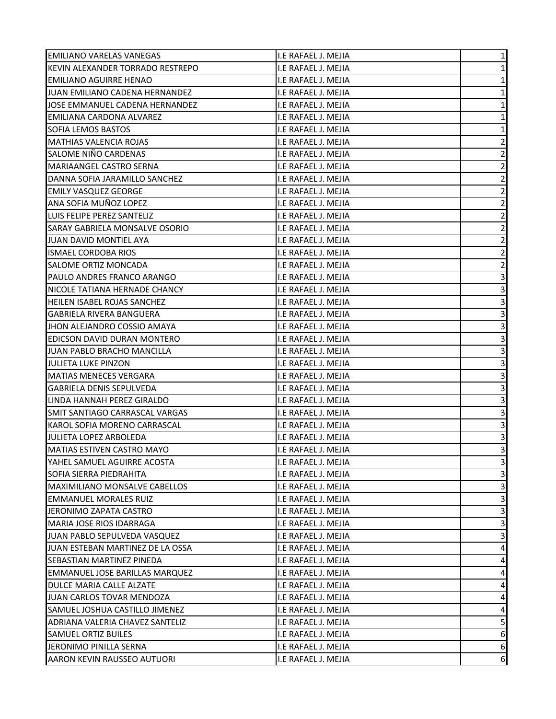| <b>EMILIANO VARELAS VANEGAS</b>       | I.E RAFAEL J. MEJIA | $\mathbf 1$             |
|---------------------------------------|---------------------|-------------------------|
| KEVIN ALEXANDER TORRADO RESTREPO      | I.E RAFAEL J. MEJIA | $\mathbf{1}$            |
| <b>EMILIANO AGUIRRE HENAO</b>         | I.E RAFAEL J. MEJIA | $\mathbf 1$             |
| JUAN EMILIANO CADENA HERNANDEZ        | I.E RAFAEL J. MEJIA | $\mathbf 1$             |
| JOSE EMMANUEL CADENA HERNANDEZ        | I.E RAFAEL J. MEJIA | $\mathbf 1$             |
| <b>EMILIANA CARDONA ALVAREZ</b>       | I.E RAFAEL J. MEJIA | $\mathbf 1$             |
| SOFIA LEMOS BASTOS                    | I.E RAFAEL J. MEJIA | $\mathbf 1$             |
| <b>MATHIAS VALENCIA ROJAS</b>         | I.E RAFAEL J. MEJIA | $\overline{\mathbf{c}}$ |
| SALOME NIÑO CARDENAS                  | I.E RAFAEL J. MEJIA | $\overline{2}$          |
| MARIAANGEL CASTRO SERNA               | I.E RAFAEL J. MEJIA | $\overline{c}$          |
| DANNA SOFIA JARAMILLO SANCHEZ         | I.E RAFAEL J. MEJIA | $\overline{\mathbf{c}}$ |
| <b>EMILY VASQUEZ GEORGE</b>           | I.E RAFAEL J. MEJIA | $\overline{2}$          |
| ANA SOFIA MUÑOZ LOPEZ                 | I.E RAFAEL J. MEJIA | $\overline{2}$          |
| LUIS FELIPE PEREZ SANTELIZ            | I.E RAFAEL J. MEJIA | $\overline{\mathbf{c}}$ |
| SARAY GABRIELA MONSALVE OSORIO        | I.E RAFAEL J. MEJIA | $\overline{\mathbf{c}}$ |
| JUAN DAVID MONTIEL AYA                | I.E RAFAEL J. MEJIA | $\overline{2}$          |
| <b>ISMAEL CORDOBA RIOS</b>            | I.E RAFAEL J. MEJIA | $\overline{\mathbf{c}}$ |
| SALOME ORTIZ MONCADA                  | I.E RAFAEL J. MEJIA | $\mathbf 2$             |
| PAULO ANDRES FRANCO ARANGO            | I.E RAFAEL J. MEJIA | 3                       |
| NICOLE TATIANA HERNADE CHANCY         | I.E RAFAEL J. MEJIA | $\mathsf 3$             |
| <b>HEILEN ISABEL ROJAS SANCHEZ</b>    | I.E RAFAEL J. MEJIA | 3                       |
| <b>GABRIELA RIVERA BANGUERA</b>       | I.E RAFAEL J. MEJIA | 3                       |
| JHON ALEJANDRO COSSIO AMAYA           | I.E RAFAEL J. MEJIA | 3                       |
| EDICSON DAVID DURAN MONTERO           | I.E RAFAEL J. MEJIA | $\overline{3}$          |
| JUAN PABLO BRACHO MANCILLA            | I.E RAFAEL J. MEJIA | 3                       |
| JULIETA LUKE PINZON                   | I.E RAFAEL J. MEJIA | 3                       |
| <b>MATIAS MENECES VERGARA</b>         | I.E RAFAEL J. MEJIA | 3                       |
| <b>GABRIELA DENIS SEPULVEDA</b>       | I.E RAFAEL J. MEJIA | 3                       |
| LINDA HANNAH PEREZ GIRALDO            | I.E RAFAEL J. MEJIA | 3                       |
| SMIT SANTIAGO CARRASCAL VARGAS        | I.E RAFAEL J. MEJIA | 3                       |
| KAROL SOFIA MORENO CARRASCAL          | I.E RAFAEL J. MEJIA | 3                       |
| JULIETA LOPEZ ARBOLEDA                | I.E RAFAEL J. MEJIA | 3                       |
| <b>MATIAS ESTIVEN CASTRO MAYO</b>     | I.E RAFAEL J. MEJIA | 3                       |
| YAHEL SAMUEL AGUIRRE ACOSTA           | I.E RAFAEL J. MEJIA | 3                       |
| SOFIA SIERRA PIEDRAHITA               | I.E RAFAEL J. MEJIA | 3                       |
| <b>MAXIMILIANO MONSALVE CABELLOS</b>  | I.E RAFAEL J. MEJIA | 3                       |
| <b>EMMANUEL MORALES RUIZ</b>          | I.E RAFAEL J. MEJIA | $\overline{\mathbf{3}}$ |
| JERONIMO ZAPATA CASTRO                | I.E RAFAEL J. MEJIA | 3                       |
| MARIA JOSE RIOS IDARRAGA              | I.E RAFAEL J. MEJIA | $\mathbf{3}$            |
| JUAN PABLO SEPULVEDA VASQUEZ          | I.E RAFAEL J. MEJIA | 3                       |
| JUAN ESTEBAN MARTINEZ DE LA OSSA      | I.E RAFAEL J. MEJIA | 4                       |
| SEBASTIAN MARTINEZ PINEDA             | I.E RAFAEL J. MEJIA | 4                       |
| <b>EMMANUEL JOSE BARILLAS MARQUEZ</b> | I.E RAFAEL J. MEJIA | 4                       |
| DULCE MARIA CALLE ALZATE              | I.E RAFAEL J. MEJIA | 4                       |
| JUAN CARLOS TOVAR MENDOZA             | I.E RAFAEL J. MEJIA | 4                       |
| SAMUEL JOSHUA CASTILLO JIMENEZ        | I.E RAFAEL J. MEJIA | 4                       |
| ADRIANA VALERIA CHAVEZ SANTELIZ       | I.E RAFAEL J. MEJIA | 5                       |
| <b>SAMUEL ORTIZ BUILES</b>            | I.E RAFAEL J. MEJIA | 6                       |
| JERONIMO PINILLA SERNA                | I.E RAFAEL J. MEJIA | 6                       |
| AARON KEVIN RAUSSEO AUTUORI           | I.E RAFAEL J. MEJIA | 6                       |
|                                       |                     |                         |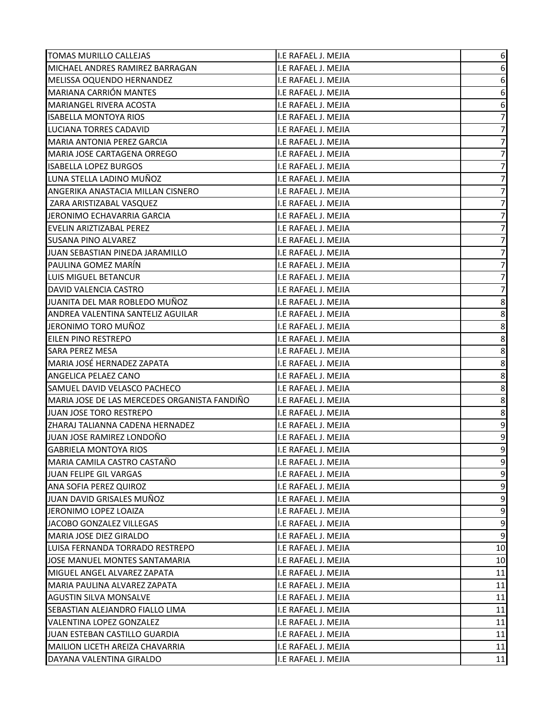| <b>TOMAS MURILLO CALLEJAS</b>                | I.E RAFAEL J. MEJIA | 6                        |
|----------------------------------------------|---------------------|--------------------------|
| MICHAEL ANDRES RAMIREZ BARRAGAN              | I.E RAFAEL J. MEJIA | 6                        |
| MELISSA OQUENDO HERNANDEZ                    | I.E RAFAEL J. MEJIA | 6                        |
| <b>MARIANA CARRIÓN MANTES</b>                | I.E RAFAEL J. MEJIA | 6                        |
| <b>MARIANGEL RIVERA ACOSTA</b>               | I.E RAFAEL J. MEJIA | $\,6\,$                  |
| <b>ISABELLA MONTOYA RIOS</b>                 | I.E RAFAEL J. MEJIA | $\overline{\mathcal{I}}$ |
| <b>LUCIANA TORRES CADAVID</b>                | I.E RAFAEL J. MEJIA | $\overline{\mathcal{I}}$ |
| MARIA ANTONIA PEREZ GARCIA                   | I.E RAFAEL J. MEJIA | $\overline{7}$           |
| MARIA JOSE CARTAGENA ORREGO                  | I.E RAFAEL J. MEJIA | 7                        |
| <b>ISABELLA LOPEZ BURGOS</b>                 | I.E RAFAEL J. MEJIA | $\overline{7}$           |
| LUNA STELLA LADINO MUÑOZ                     | I.E RAFAEL J. MEJIA | $\boldsymbol{7}$         |
| ANGERIKA ANASTACIA MILLAN CISNERO            | I.E RAFAEL J. MEJIA | $\overline{7}$           |
| ZARA ARISTIZABAL VASQUEZ                     | I.E RAFAEL J. MEJIA | $\boldsymbol{7}$         |
| JERONIMO ECHAVARRIA GARCIA                   | I.E RAFAEL J. MEJIA | $\overline{7}$           |
| EVELIN ARIZTIZABAL PEREZ                     | I.E RAFAEL J. MEJIA | 7                        |
| <b>SUSANA PINO ALVAREZ</b>                   | I.E RAFAEL J. MEJIA | $\overline{\mathcal{I}}$ |
| JUAN SEBASTIAN PINEDA JARAMILLO              | I.E RAFAEL J. MEJIA | $\overline{7}$           |
| PAULINA GOMEZ MARÍN                          | I.E RAFAEL J. MEJIA | $\boldsymbol{7}$         |
| LUIS MIGUEL BETANCUR                         | I.E RAFAEL J. MEJIA | 7                        |
| DAVID VALENCIA CASTRO                        | I.E RAFAEL J. MEJIA | $\overline{7}$           |
| JUANITA DEL MAR ROBLEDO MUÑOZ                | I.E RAFAEL J. MEJIA | 8                        |
| ANDREA VALENTINA SANTELIZ AGUILAR            | I.E RAFAEL J. MEJIA | 8                        |
| JERONIMO TORO MUÑOZ                          | I.E RAFAEL J. MEJIA | 8                        |
| EILEN PINO RESTREPO                          | I.E RAFAEL J. MEJIA | $\bf 8$                  |
| <b>SARA PEREZ MESA</b>                       | I.E RAFAEL J. MEJIA | 8                        |
| MARIA JOSÉ HERNADEZ ZAPATA                   | I.E RAFAEL J. MEJIA | 8                        |
| ANGELICA PELAEZ CANO                         | I.E RAFAEL J. MEJIA | $\bf 8$                  |
| SAMUEL DAVID VELASCO PACHECO                 | I.E RAFAEL J. MEJIA | 8                        |
| MARIA JOSE DE LAS MERCEDES ORGANISTA FANDIÑO | I.E RAFAEL J. MEJIA | 8                        |
| JUAN JOSE TORO RESTREPO                      | I.E RAFAEL J. MEJIA | 8                        |
| ZHARAJ TALIANNA CADENA HERNADEZ              | I.E RAFAEL J. MEJIA | $\boldsymbol{9}$         |
| JUAN JOSE RAMIREZ LONDOÑO                    | I.E RAFAEL J. MEJIA | 9                        |
| <b>GABRIELA MONTOYA RIOS</b>                 | I.E RAFAEL J. MEJIA | 9                        |
| MARIA CAMILA CASTRO CASTAÑO                  | I.E RAFAEL J. MEJIA | 9                        |
| JUAN FELIPE GIL VARGAS                       | I.E RAFAEL J. MEJIA | 9                        |
| ANA SOFIA PEREZ QUIROZ                       | I.E RAFAEL J. MEJIA | $\mathsf 9$              |
| JUAN DAVID GRISALES MUÑOZ                    | I.E RAFAEL J. MEJIA | $\mathsf 9$              |
| JERONIMO LOPEZ LOAIZA                        | I.E RAFAEL J. MEJIA | 9                        |
| JACOBO GONZALEZ VILLEGAS                     | I.E RAFAEL J. MEJIA | $\boldsymbol{9}$         |
| MARIA JOSE DIEZ GIRALDO                      | I.E RAFAEL J. MEJIA | $\mathsf 9$              |
| LUISA FERNANDA TORRADO RESTREPO              | I.E RAFAEL J. MEJIA | 10                       |
| JOSE MANUEL MONTES SANTAMARIA                | I.E RAFAEL J. MEJIA | 10                       |
| MIGUEL ANGEL ALVAREZ ZAPATA                  | I.E RAFAEL J. MEJIA | 11                       |
| IMARIA PAULINA ALVAREZ ZAPATA                | I.E RAFAEL J. MEJIA | 11                       |
| <b>AGUSTIN SILVA MONSALVE</b>                | I.E RAFAEL J. MEJIA | 11                       |
| SEBASTIAN ALEJANDRO FIALLO LIMA              | I.E RAFAEL J. MEJIA | 11                       |
| VALENTINA LOPEZ GONZALEZ                     | I.E RAFAEL J. MEJIA | 11                       |
| JUAN ESTEBAN CASTILLO GUARDIA                | I.E RAFAEL J. MEJIA | 11                       |
| MAILION LICETH AREIZA CHAVARRIA              | I.E RAFAEL J. MEJIA | 11                       |
| DAYANA VALENTINA GIRALDO                     | I.E RAFAEL J. MEJIA | 11                       |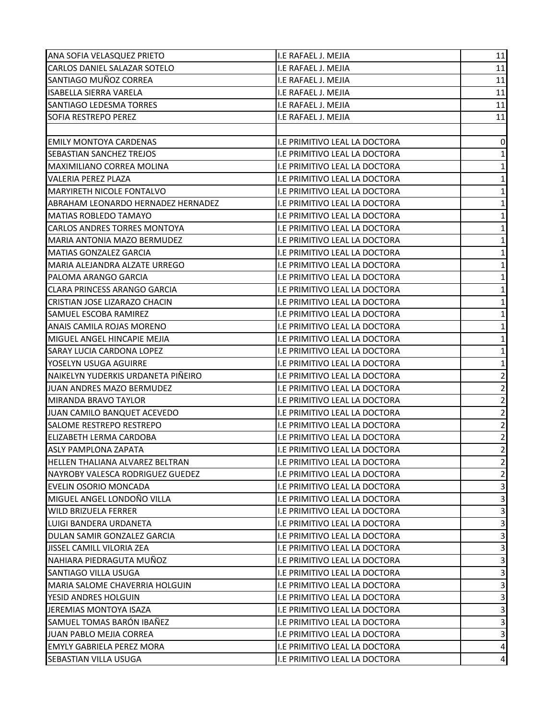| ANA SOFIA VELASQUEZ PRIETO             | I.E RAFAEL J. MEJIA                  | 11                      |
|----------------------------------------|--------------------------------------|-------------------------|
| CARLOS DANIEL SALAZAR SOTELO           | I.E RAFAEL J. MEJIA                  | 11                      |
| SANTIAGO MUÑOZ CORREA                  | I.E RAFAEL J. MEJIA                  | 11                      |
| <b>ISABELLA SIERRA VARELA</b>          | I.E RAFAEL J. MEJIA                  | 11                      |
| SANTIAGO LEDESMA TORRES                | I.E RAFAEL J. MEJIA                  | 11                      |
| <b>SOFIA RESTREPO PEREZ</b>            | I.E RAFAEL J. MEJIA                  | 11                      |
|                                        |                                      |                         |
| <b>EMILY MONTOYA CARDENAS</b>          | I.E PRIMITIVO LEAL LA DOCTORA        | 0                       |
| <b>SEBASTIAN SANCHEZ TREJOS</b>        | <b>I.E PRIMITIVO LEAL LA DOCTORA</b> | $\mathbf{1}$            |
| MAXIMILIANO CORREA MOLINA              | I.E PRIMITIVO LEAL LA DOCTORA        | $\mathbf 1$             |
| VALERIA PEREZ PLAZA                    | I.E PRIMITIVO LEAL LA DOCTORA        | $\mathbf 1$             |
| MARYIRETH NICOLE FONTALVO              | I.E PRIMITIVO LEAL LA DOCTORA        | $\mathbf 1$             |
| ABRAHAM LEONARDO HERNADEZ HERNADEZ     | I.E PRIMITIVO LEAL LA DOCTORA        | $\mathbf 1$             |
| <b>MATIAS ROBLEDO TAMAYO</b>           | I.E PRIMITIVO LEAL LA DOCTORA        | $\mathbf 1$             |
| CARLOS ANDRES TORRES MONTOYA           | I.E PRIMITIVO LEAL LA DOCTORA        | $\mathbf 1$             |
| MARIA ANTONIA MAZO BERMUDEZ            | I.E PRIMITIVO LEAL LA DOCTORA        | $\mathbf 1$             |
| <b>MATIAS GONZALEZ GARCIA</b>          | I.E PRIMITIVO LEAL LA DOCTORA        | $\mathbf 1$             |
| MARIA ALEJANDRA ALZATE URREGO          | I.E PRIMITIVO LEAL LA DOCTORA        | $\mathbf 1$             |
| PALOMA ARANGO GARCIA                   | I.E PRIMITIVO LEAL LA DOCTORA        | $\mathbf 1$             |
| <b>CLARA PRINCESS ARANGO GARCIA</b>    | I.E PRIMITIVO LEAL LA DOCTORA        | $\mathbf 1$             |
| CRISTIAN JOSE LIZARAZO CHACIN          | I.E PRIMITIVO LEAL LA DOCTORA        | $\mathbf 1$             |
| SAMUEL ESCOBA RAMIREZ                  | I.E PRIMITIVO LEAL LA DOCTORA        | $\mathbf 1$             |
| ANAIS CAMILA ROJAS MORENO              | I.E PRIMITIVO LEAL LA DOCTORA        | $\mathbf 1$             |
| MIGUEL ANGEL HINCAPIE MEJIA            | I.E PRIMITIVO LEAL LA DOCTORA        | $\mathbf 1$             |
| SARAY LUCIA CARDONA LOPEZ              | I.E PRIMITIVO LEAL LA DOCTORA        | $\mathbf 1$             |
| YOSELYN USUGA AGUIRRE                  | I.E PRIMITIVO LEAL LA DOCTORA        | $\mathbf 1$             |
| NAIKELYN YUDERKIS URDANETA PIÑEIRO     | I.E PRIMITIVO LEAL LA DOCTORA        | $\overline{c}$          |
| JUAN ANDRES MAZO BERMUDEZ              | I.E PRIMITIVO LEAL LA DOCTORA        | $\overline{2}$          |
| MIRANDA BRAVO TAYLOR                   | I.E PRIMITIVO LEAL LA DOCTORA        | $\overline{2}$          |
| JUAN CAMILO BANQUET ACEVEDO            | I.E PRIMITIVO LEAL LA DOCTORA        | $\sqrt{2}$              |
| SALOME RESTREPO RESTREPO               | I.E PRIMITIVO LEAL LA DOCTORA        | $\mathbf 2$             |
| <b>ELIZABETH LERMA CARDOBA</b>         | I.E PRIMITIVO LEAL LA DOCTORA        | $\overline{2}$          |
| <b>ASLY PAMPLONA ZAPATA</b>            | I.E PRIMITIVO LEAL LA DOCTORA        | $\overline{2}$          |
| <b>HELLEN THALIANA ALVAREZ BELTRAN</b> | I.E PRIMITIVO LEAL LA DOCTORA        | $\overline{2}$          |
| NAYROBY VALESCA RODRIGUEZ GUEDEZ       | I.E PRIMITIVO LEAL LA DOCTORA        | $\mathbf 2$             |
| EVELIN OSORIO MONCADA                  | I.E PRIMITIVO LEAL LA DOCTORA        | 3                       |
| MIGUEL ANGEL LONDOÑO VILLA             | I.E PRIMITIVO LEAL LA DOCTORA        | $\mathsf 3$             |
| <b>WILD BRIZUELA FERRER</b>            | I.E PRIMITIVO LEAL LA DOCTORA        | 3                       |
| LUIGI BANDERA URDANETA                 | I.E PRIMITIVO LEAL LA DOCTORA        | $\overline{\mathbf{3}}$ |
| DULAN SAMIR GONZALEZ GARCIA            | I.E PRIMITIVO LEAL LA DOCTORA        | 3                       |
| JISSEL CAMILL VILORIA ZEA              | I.E PRIMITIVO LEAL LA DOCTORA        | 3                       |
| NAHIARA PIEDRAGUTA MUÑOZ               | I.E PRIMITIVO LEAL LA DOCTORA        | 3                       |
| <b>SANTIAGO VILLA USUGA</b>            | I.E PRIMITIVO LEAL LA DOCTORA        | $\overline{\mathbf{3}}$ |
| MARIA SALOME CHAVERRIA HOLGUIN         | I.E PRIMITIVO LEAL LA DOCTORA        | 3                       |
| YESID ANDRES HOLGUIN                   | I.E PRIMITIVO LEAL LA DOCTORA        | 3                       |
| JEREMIAS MONTOYA ISAZA                 | I.E PRIMITIVO LEAL LA DOCTORA        | 3                       |
| SAMUEL TOMAS BARÓN IBAÑEZ              | I.E PRIMITIVO LEAL LA DOCTORA        | $\overline{3}$          |
| JUAN PABLO MEJIA CORREA                | I.E PRIMITIVO LEAL LA DOCTORA        | 3                       |
| <b>EMYLY GABRIELA PEREZ MORA</b>       | I.E PRIMITIVO LEAL LA DOCTORA        | 4                       |
| SEBASTIAN VILLA USUGA                  | I.E PRIMITIVO LEAL LA DOCTORA        | 4                       |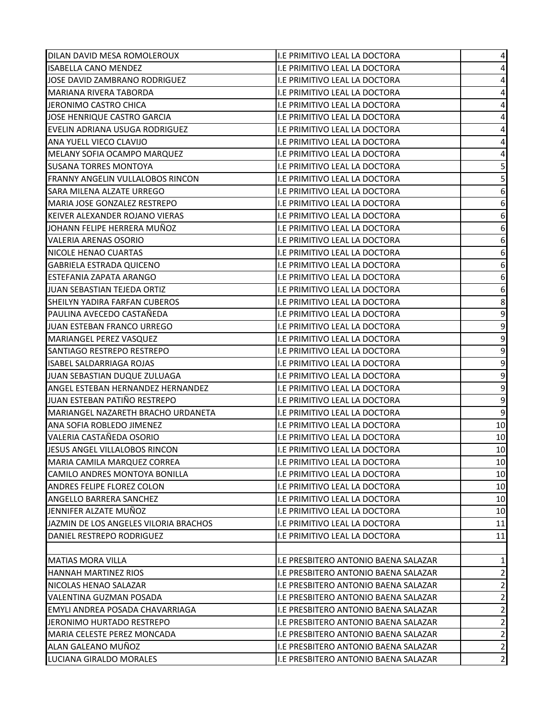| DILAN DAVID MESA ROMOLEROUX           | I.E PRIMITIVO LEAL LA DOCTORA        | 4                       |
|---------------------------------------|--------------------------------------|-------------------------|
| <b>ISABELLA CANO MENDEZ</b>           | I.E PRIMITIVO LEAL LA DOCTORA        | 4                       |
| JOSE DAVID ZAMBRANO RODRIGUEZ         | I.E PRIMITIVO LEAL LA DOCTORA        | 4                       |
| MARIANA RIVERA TABORDA                | I.E PRIMITIVO LEAL LA DOCTORA        | 4                       |
| JERONIMO CASTRO CHICA                 | I.E PRIMITIVO LEAL LA DOCTORA        | $\overline{\mathbf{4}}$ |
| JOSE HENRIQUE CASTRO GARCIA           | I.E PRIMITIVO LEAL LA DOCTORA        | $\overline{\mathbf{4}}$ |
| EVELIN ADRIANA USUGA RODRIGUEZ        | I.E PRIMITIVO LEAL LA DOCTORA        | 4                       |
| ANA YUELL VIECO CLAVIJO               | I.E PRIMITIVO LEAL LA DOCTORA        | $\overline{\mathbf{4}}$ |
| MELANY SOFIA OCAMPO MARQUEZ           | I.E PRIMITIVO LEAL LA DOCTORA        | $\pmb{4}$               |
| <b>SUSANA TORRES MONTOYA</b>          | I.E PRIMITIVO LEAL LA DOCTORA        | 5                       |
| FRANNY ANGELIN VULLALOBOS RINCON      | I.E PRIMITIVO LEAL LA DOCTORA        | 5                       |
| SARA MILENA ALZATE URREGO             | I.E PRIMITIVO LEAL LA DOCTORA        | 6                       |
| MARIA JOSE GONZALEZ RESTREPO          | I.E PRIMITIVO LEAL LA DOCTORA        | 6                       |
| KEIVER ALEXANDER ROJANO VIERAS        | I.E PRIMITIVO LEAL LA DOCTORA        | 6                       |
| JOHANN FELIPE HERRERA MUÑOZ           | I.E PRIMITIVO LEAL LA DOCTORA        | 6                       |
| <b>VALERIA ARENAS OSORIO</b>          | I.E PRIMITIVO LEAL LA DOCTORA        | 6                       |
| NICOLE HENAO CUARTAS                  | <b>I.E PRIMITIVO LEAL LA DOCTORA</b> | 6                       |
| <b>GABRIELA ESTRADA QUICENO</b>       | I.E PRIMITIVO LEAL LA DOCTORA        | 6                       |
| ESTEFANIA ZAPATA ARANGO               | I.E PRIMITIVO LEAL LA DOCTORA        | 6                       |
| JUAN SEBASTIAN TEJEDA ORTIZ           | I.E PRIMITIVO LEAL LA DOCTORA        | $\boldsymbol{6}$        |
| SHEILYN YADIRA FARFAN CUBEROS         | I.E PRIMITIVO LEAL LA DOCTORA        | 8                       |
| PAULINA AVECEDO CASTAÑEDA             | I.E PRIMITIVO LEAL LA DOCTORA        | 9                       |
| JUAN ESTEBAN FRANCO URREGO            | I.E PRIMITIVO LEAL LA DOCTORA        | 9                       |
| MARIANGEL PEREZ VASQUEZ               | I.E PRIMITIVO LEAL LA DOCTORA        | $\boldsymbol{9}$        |
| SANTIAGO RESTREPO RESTREPO            | I.E PRIMITIVO LEAL LA DOCTORA        | 9                       |
| <b>ISABEL SALDARRIAGA ROJAS</b>       | I.E PRIMITIVO LEAL LA DOCTORA        | 9                       |
| JUAN SEBASTIAN DUQUE ZULUAGA          | I.E PRIMITIVO LEAL LA DOCTORA        | 9                       |
| ANGEL ESTEBAN HERNANDEZ HERNANDEZ     | I.E PRIMITIVO LEAL LA DOCTORA        | $\mathsf 9$             |
| JUAN ESTEBAN PATIÑO RESTREPO          | I.E PRIMITIVO LEAL LA DOCTORA        | 9                       |
| MARIANGEL NAZARETH BRACHO URDANETA    | I.E PRIMITIVO LEAL LA DOCTORA        | 9                       |
| ANA SOFIA ROBLEDO JIMENEZ             | I.E PRIMITIVO LEAL LA DOCTORA        | 10                      |
| VALERIA CASTAÑEDA OSORIO              | I.E PRIMITIVO LEAL LA DOCTORA        | 10                      |
| JESUS ANGEL VILLALOBOS RINCON         | I.E PRIMITIVO LEAL LA DOCTORA        | 10                      |
| MARIA CAMILA MARQUEZ CORREA           | I.E PRIMITIVO LEAL LA DOCTORA        | 10                      |
| CAMILO ANDRES MONTOYA BONILLA         | I.E PRIMITIVO LEAL LA DOCTORA        | 10                      |
| ANDRES FELIPE FLOREZ COLON            | I.E PRIMITIVO LEAL LA DOCTORA        | 10                      |
| ANGELLO BARRERA SANCHEZ               | I.E PRIMITIVO LEAL LA DOCTORA        | 10                      |
| JENNIFER ALZATE MUÑOZ                 | I.E PRIMITIVO LEAL LA DOCTORA        | 10                      |
| JAZMIN DE LOS ANGELES VILORIA BRACHOS | I.E PRIMITIVO LEAL LA DOCTORA        | 11                      |
| DANIEL RESTREPO RODRIGUEZ             | I.E PRIMITIVO LEAL LA DOCTORA        | 11                      |
|                                       |                                      |                         |
| <b>MATIAS MORA VILLA</b>              | I.E PRESBITERO ANTONIO BAENA SALAZAR | $\mathbf{1}$            |
| <b>HANNAH MARTINEZ RIOS</b>           | I.E PRESBITERO ANTONIO BAENA SALAZAR | $\overline{2}$          |
| NICOLAS HENAO SALAZAR                 | I.E PRESBITERO ANTONIO BAENA SALAZAR | $\overline{\mathbf{c}}$ |
| VALENTINA GUZMAN POSADA               | I.E PRESBITERO ANTONIO BAENA SALAZAR | $\mathbf 2$             |
| EMYLI ANDREA POSADA CHAVARRIAGA       | I.E PRESBITERO ANTONIO BAENA SALAZAR | $\mathbf 2$             |
| JERONIMO HURTADO RESTREPO             | I.E PRESBITERO ANTONIO BAENA SALAZAR | $\overline{2}$          |
| MARIA CELESTE PEREZ MONCADA           | I.E PRESBITERO ANTONIO BAENA SALAZAR | $\sqrt{2}$              |
| ALAN GALEANO MUÑOZ                    | I.E PRESBITERO ANTONIO BAENA SALAZAR | $\overline{2}$          |
| LUCIANA GIRALDO MORALES               | I.E PRESBITERO ANTONIO BAENA SALAZAR | $\overline{2}$          |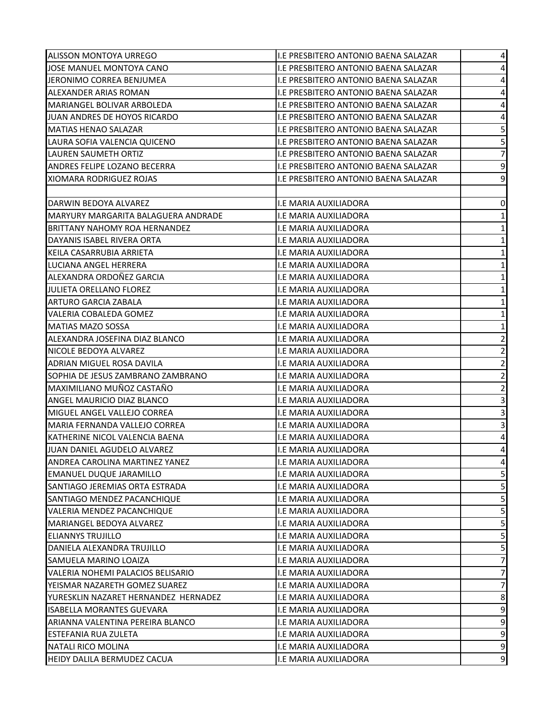| ALISSON MONTOYA URREGO               | I.E PRESBITERO ANTONIO BAENA SALAZAR        | 4                       |
|--------------------------------------|---------------------------------------------|-------------------------|
| JOSE MANUEL MONTOYA CANO             | I.E PRESBITERO ANTONIO BAENA SALAZAR        | 4                       |
| JERONIMO CORREA BENJUMEA             | I.E PRESBITERO ANTONIO BAENA SALAZAR        | $\pmb{4}$               |
| ALEXANDER ARIAS ROMAN                | I.E PRESBITERO ANTONIO BAENA SALAZAR        | 4                       |
| MARIANGEL BOLIVAR ARBOLEDA           | <b>I.E PRESBITERO ANTONIO BAENA SALAZAR</b> | $\overline{\mathbf{4}}$ |
| JUAN ANDRES DE HOYOS RICARDO         | I.E PRESBITERO ANTONIO BAENA SALAZAR        | $\overline{\mathbf{4}}$ |
| <b>MATIAS HENAO SALAZAR</b>          | I.E PRESBITERO ANTONIO BAENA SALAZAR        | 5                       |
| LAURA SOFIA VALENCIA QUICENO         | I.E PRESBITERO ANTONIO BAENA SALAZAR        | 5                       |
| <b>LAUREN SAUMETH ORTIZ</b>          | I.E PRESBITERO ANTONIO BAENA SALAZAR        | $\overline{7}$          |
| ANDRES FELIPE LOZANO BECERRA         | I.E PRESBITERO ANTONIO BAENA SALAZAR        | $\mathsf 9$             |
| XIOMARA RODRIGUEZ ROJAS              | I.E PRESBITERO ANTONIO BAENA SALAZAR        | 9                       |
|                                      |                                             |                         |
| DARWIN BEDOYA ALVAREZ                | I.E MARIA AUXILIADORA                       | 0                       |
| MARYURY MARGARITA BALAGUERA ANDRADE  | I.E MARIA AUXILIADORA                       | $\mathbf 1$             |
| <b>BRITTANY NAHOMY ROA HERNANDEZ</b> | I.E MARIA AUXILIADORA                       | $\mathbf{1}$            |
| DAYANIS ISABEL RIVERA ORTA           | I.E MARIA AUXILIADORA                       | $\mathbf 1$             |
| KEILA CASARRUBIA ARRIETA             | I.E MARIA AUXILIADORA                       | $\mathbf 1$             |
| LUCIANA ANGEL HERRERA                | I.E MARIA AUXILIADORA                       | $\mathbf 1$             |
| ALEXANDRA ORDOÑEZ GARCIA             | <b>I.E MARIA AUXILIADORA</b>                | $\mathbf 1$             |
| JULIETA ORELLANO FLOREZ              | I.E MARIA AUXILIADORA                       | $\mathbf 1$             |
| <b>ARTURO GARCIA ZABALA</b>          | I.E MARIA AUXILIADORA                       | $\mathbf 1$             |
| <b>VALERIA COBALEDA GOMEZ</b>        | I.E MARIA AUXILIADORA                       | $\mathbf 1$             |
| <b>MATIAS MAZO SOSSA</b>             | I.E MARIA AUXILIADORA                       | $\mathbf 1$             |
| ALEXANDRA JOSEFINA DIAZ BLANCO       | I.E MARIA AUXILIADORA                       | $\overline{c}$          |
| NICOLE BEDOYA ALVAREZ                | I.E MARIA AUXILIADORA                       | $\overline{\mathbf{c}}$ |
| ADRIAN MIGUEL ROSA DAVILA            | I.E MARIA AUXILIADORA                       | $\mathbf 2$             |
| SOPHIA DE JESUS ZAMBRANO ZAMBRANO    | I.E MARIA AUXILIADORA                       | $\mathbf 2$             |
| MAXIMILIANO MUÑOZ CASTAÑO            | I.E MARIA AUXILIADORA                       | $\mathbf 2$             |
| ANGEL MAURICIO DIAZ BLANCO           | I.E MARIA AUXILIADORA                       | 3                       |
| MIGUEL ANGEL VALLEJO CORREA          | I.E MARIA AUXILIADORA                       | $\mathsf 3$             |
| MARIA FERNANDA VALLEJO CORREA        | I.E MARIA AUXILIADORA                       | 3                       |
| KATHERINE NICOL VALENCIA BAENA       | I.E MARIA AUXILIADORA                       | $\pmb{4}$               |
| JUAN DANIEL AGUDELO ALVAREZ          | I.E MARIA AUXILIADORA                       | 4                       |
| ANDREA CAROLINA MARTINEZ YANEZ       | I.E MARIA AUXILIADORA                       | 4                       |
| <b>EMANUEL DUQUE JARAMILLO</b>       | I.E MARIA AUXILIADORA                       | 5                       |
| SANTIAGO JEREMIAS ORTA ESTRADA       | I.E MARIA AUXILIADORA                       | 5                       |
| SANTIAGO MENDEZ PACANCHIQUE          | I.E MARIA AUXILIADORA                       | 5                       |
| VALERIA MENDEZ PACANCHIQUE           | <b>I.E MARIA AUXILIADORA</b>                | 5                       |
| MARIANGEL BEDOYA ALVAREZ             | I.E MARIA AUXILIADORA                       | 5                       |
| <b>ELIANNYS TRUJILLO</b>             | <b>I.E MARIA AUXILIADORA</b>                | 5                       |
| DANIELA ALEXANDRA TRUJILLO           | I.E MARIA AUXILIADORA                       | 5                       |
| SAMUELA MARINO LOAIZA                | <b>I.E MARIA AUXILIADORA</b>                | 7                       |
| VALERIA NOHEMI PALACIOS BELISARIO    | <b>I.E MARIA AUXILIADORA</b>                | $\overline{7}$          |
| YEISMAR NAZARETH GOMEZ SUAREZ        | I.E MARIA AUXILIADORA                       | $\overline{7}$          |
| YURESKLIN NAZARET HERNANDEZ HERNADEZ | I.E MARIA AUXILIADORA                       | 8                       |
| <b>ISABELLA MORANTES GUEVARA</b>     | I.E MARIA AUXILIADORA                       | 9                       |
| ARIANNA VALENTINA PEREIRA BLANCO     | I.E MARIA AUXILIADORA                       | 9                       |
| <b>ESTEFANIA RUA ZULETA</b>          | I.E MARIA AUXILIADORA                       | 9                       |
| <b>NATALI RICO MOLINA</b>            | I.E MARIA AUXILIADORA                       | 9                       |
| HEIDY DALILA BERMUDEZ CACUA          | I.E MARIA AUXILIADORA                       | 9                       |